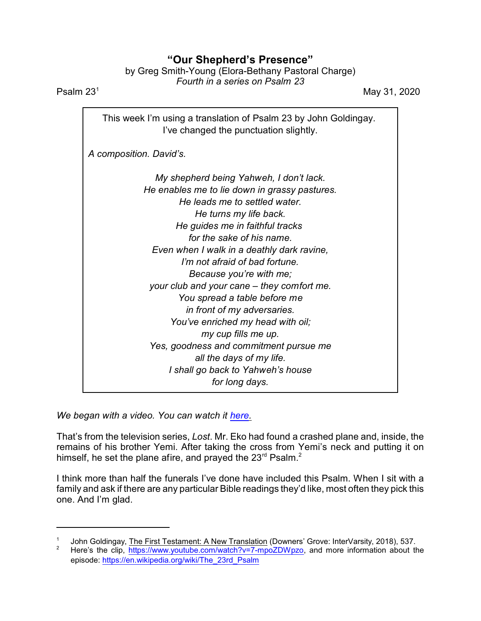## **"Our Shepherd's Presence"**

by Greg Smith-Young (Elora-Bethany Pastoral Charge) *Fourth in a series on Psalm 23*

**Psalm**  $23^1$  May 31, 2020

This week I'm using a translation of Psalm 23 by John Goldingay. I've changed the punctuation slightly. *A composition. David's. My shepherd being Yahweh, I don't lack. He enables me to lie down in grassy pastures. He leads me to settled water. He turns my life back. He guides me in faithful tracks for the sake of his name. Even when I walk in a deathly dark ravine, I'm not afraid of bad fortune. Because you're with me; your club and your cane – they comfort me. You spread a table before me in front of my adversaries. You've enriched my head with oil; my cup fills me up. Yes, goodness and commitment pursue me*

*all the days of my life. I shall go back to Yahweh's house*

*for long days.*

*We began with a video. You can watch it [here](https://www.youtube.com/watch?v=7-mpoZDWpzo).*

That's from the television series, *Lost*. Mr. Eko had found a crashed plane and, inside, the remains of his brother Yemi. After taking the cross from Yemi's neck and putting it on himself, he set the plane afire, and prayed the 23 $^{\text{rd}}$  Psalm.<sup>2</sup>

I think more than half the funerals I've done have included this Psalm. When I sit with a family and ask if there are any particular Bible readings they'd like, most often they pick this one. And I'm glad.

<sup>1</sup> John Goldingay, The First Testament: A New Translation (Downers' Grove: InterVarsity, 2018), 537.

Here's the clip, <https://www.youtube.com/watch?v=7-mpoZDWpzo>, and more information about the episode: [https://en.wikipedia.org/wiki/The\\_23rd\\_Psalm](https://en.wikipedia.org/wiki/The_23rd_Psalm)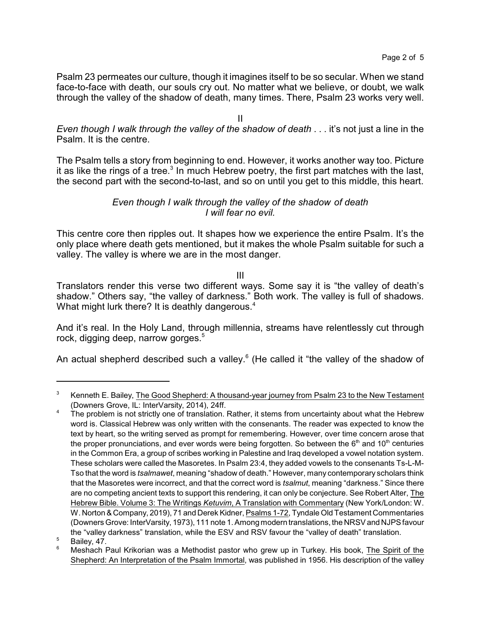Psalm 23 permeates our culture, though it imagines itself to be so secular. When we stand face-to-face with death, our souls cry out. No matter what we believe, or doubt, we walk through the valley of the shadow of death, many times. There, Psalm 23 works very well.

II

*Even though I walk through the valley of the shadow of death* . . . it's not just a line in the Psalm. It is the centre.

The Psalm tells a story from beginning to end. However, it works another way too. Picture it as like the rings of a tree. $^3$  In much Hebrew poetry, the first part matches with the last, the second part with the second-to-last, and so on until you get to this middle, this heart.

## *Even though I walk through the valley of the shadow of death I will fear no evil.*

This centre core then ripples out. It shapes how we experience the entire Psalm. It's the only place where death gets mentioned, but it makes the whole Psalm suitable for such a valley. The valley is where we are in the most danger.

III

Translators render this verse two different ways. Some say it is "the valley of death's shadow." Others say, "the valley of darkness." Both work. The valley is full of shadows. What might lurk there? It is deathly dangerous.<sup>4</sup>

And it's real. In the Holy Land, through millennia, streams have relentlessly cut through rock, digging deep, narrow gorges.<sup>5</sup>

An actual shepherd described such a valley.<sup>6</sup> (He called it "the valley of the shadow of

<sup>&</sup>lt;sup>3</sup> Kenneth E. Bailey, The Good Shepherd: A thousand-year journey from Psalm 23 to the New Testament (Downers Grove, IL: InterVarsity, 2014), 24ff.

 $4 -$ The problem is not strictly one of translation. Rather, it stems from uncertainty about what the Hebrew word is. Classical Hebrew was only written with the consenants. The reader was expected to know the text by heart, so the writing served as prompt for remembering. However, over time concern arose that the proper pronunciations, and ever words were being forgotten. So between the 6<sup>th</sup> and 10<sup>th</sup> centuries in the Common Era, a group of scribes working in Palestine and Iraq developed a vowel notation system. These scholars were called the Masoretes. In Psalm 23:4, they added vowels to the consenants Ts-L-M-Tso that the word is *tsalmawet*, meaning "shadow of death." However, many contemporary scholars think that the Masoretes were incorrect, and that the correct word is *tsalmut*, meaning "darkness." Since there are no competing ancient texts to support this rendering, it can only be conjecture. See Robert Alter, The Hebrew Bible. Volume 3: The Writings *Ketuvim*, A Translation with Commentary (New York/London: W. W. Norton & Company, 2019), 71 and Derek Kidner, Psalms 1-72, Tyndale Old Testament Commentaries (Downers Grove: InterVarsity, 1973), 111 note 1. Among modern translations, the NRSV and NJPS favour the "valley darkness" translation, while the ESV and RSV favour the "valley of death" translation.

 $5$  Bailey,  $47.$ 

<sup>6</sup> Meshach Paul Krikorian was a Methodist pastor who grew up in Turkey. His book, The Spirit of the Shepherd: An Interpretation of the Psalm Immortal, was published in 1956. His description of the valley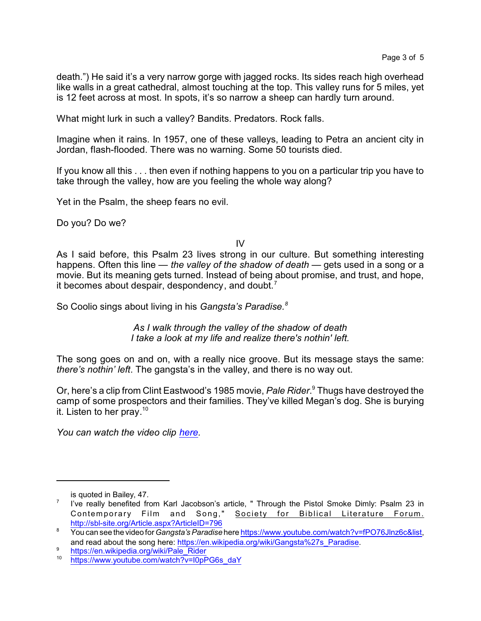death.") He said it's a very narrow gorge with jagged rocks. Its sides reach high overhead like walls in a great cathedral, almost touching at the top. This valley runs for 5 miles, yet is 12 feet across at most. In spots, it's so narrow a sheep can hardly turn around.

What might lurk in such a valley? Bandits. Predators. Rock falls.

Imagine when it rains. In 1957, one of these valleys, leading to Petra an ancient city in Jordan, flash-flooded. There was no warning. Some 50 tourists died.

If you know all this . . . then even if nothing happens to you on a particular trip you have to take through the valley, how are you feeling the whole way along?

Yet in the Psalm, the sheep fears no evil.

Do you? Do we?

IV

As I said before, this Psalm 23 lives strong in our culture. But something interesting happens. Often this line — *the valley of the shadow of death* — gets used in a song or a movie. But its meaning gets turned. Instead of being about promise, and trust, and hope, it becomes about despair, despondency, and doubt.<sup>7</sup>

So Coolio sings about living in his *Gangsta's Paradise.<sup>8</sup>*

*As I walk through the valley of the shadow of death I take a look at my life and realize there's nothin' left.*

The song goes on and on, with a really nice groove. But its message stays the same: *there's nothin' left*. The gangsta's in the valley, and there is no way out.

Or, here's a clip from Clint Eastwood's 1985 movie, *Pale Rider*. <sup>9</sup> Thugs have destroyed the camp of some prospectors and their families. They've killed Megan's dog. She is burying it. Listen to her pray.<sup>10</sup>

*You can watch the video clip [here](https://www.youtube.com/watch?v=I0pPG6s_daY).*

is quoted in Bailey, 47.

<sup>7</sup> I've really benefited from Karl Jacobson's article, " Through the Pistol Smoke Dimly: Psalm 23 in Contemporary Film and Song," Society for Biblical Literature Forum. <http://sbl-site.org/Article.aspx?ArticleID=796>

<sup>8</sup> You can see the video for*Gangsta'sParadise* here<https://www.youtube.com/watch?v=fPO76Jlnz6c&list>, and read about the song here: [https://en.wikipedia.org/wiki/Gangsta%27s\\_Paradise](https://en.wikipedia.org/wiki/Gangsta%27s_Paradise).

<sup>9</sup> [https://en.wikipedia.org/wiki/Pale\\_Rider](https://en.wikipedia.org/wiki/Pale_Rider)

<sup>10</sup> [https://www.youtube.com/watch?v=I0pPG6s\\_daY](https://www.youtube.com/watch?v=I0pPG6s_daY)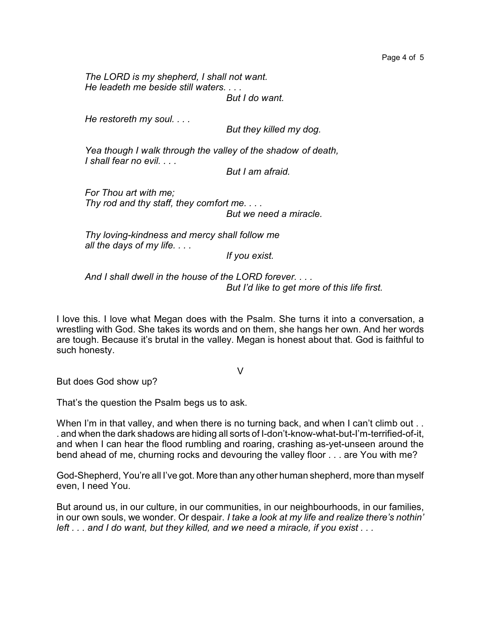*The LORD is my shepherd, I shall not want. He leadeth me beside still waters. . . . But I do want.*

*He restoreth my soul. . . .*

 *But they killed my dog.*

*Yea though I walk through the valley of the shadow of death, I shall fear no evil. . . .*

 *But I am afraid.*

*For Thou art with me; Thy rod and thy staff, they comfort me. . . . But we need a miracle.*

*Thy loving-kindness and mercy shall follow me all the days of my life. . . .*

*If you exist.*

*And I shall dwell in the house of the LORD forever. . . . But I'd like to get more of this life first.*

I love this. I love what Megan does with the Psalm. She turns it into a conversation, a wrestling with God. She takes its words and on them, she hangs her own. And her words are tough. Because it's brutal in the valley. Megan is honest about that. God is faithful to such honesty.

V

But does God show up?

That's the question the Psalm begs us to ask.

When I'm in that valley, and when there is no turning back, and when I can't climb out ... . and when the dark shadows are hiding all sorts of I-don't-know-what-but-I'm-terrified-of-it, and when I can hear the flood rumbling and roaring, crashing as-yet-unseen around the bend ahead of me, churning rocks and devouring the valley floor . . . are You with me?

God-Shepherd, You're all I've got. More than any other human shepherd, more than myself even, I need You.

But around us, in our culture, in our communities, in our neighbourhoods, in our families, in our own souls, we wonder. Or despair. *I take a look at my life and realize there's nothin' left . . . and I do want, but they killed, and we need a miracle, if you exist . . .*